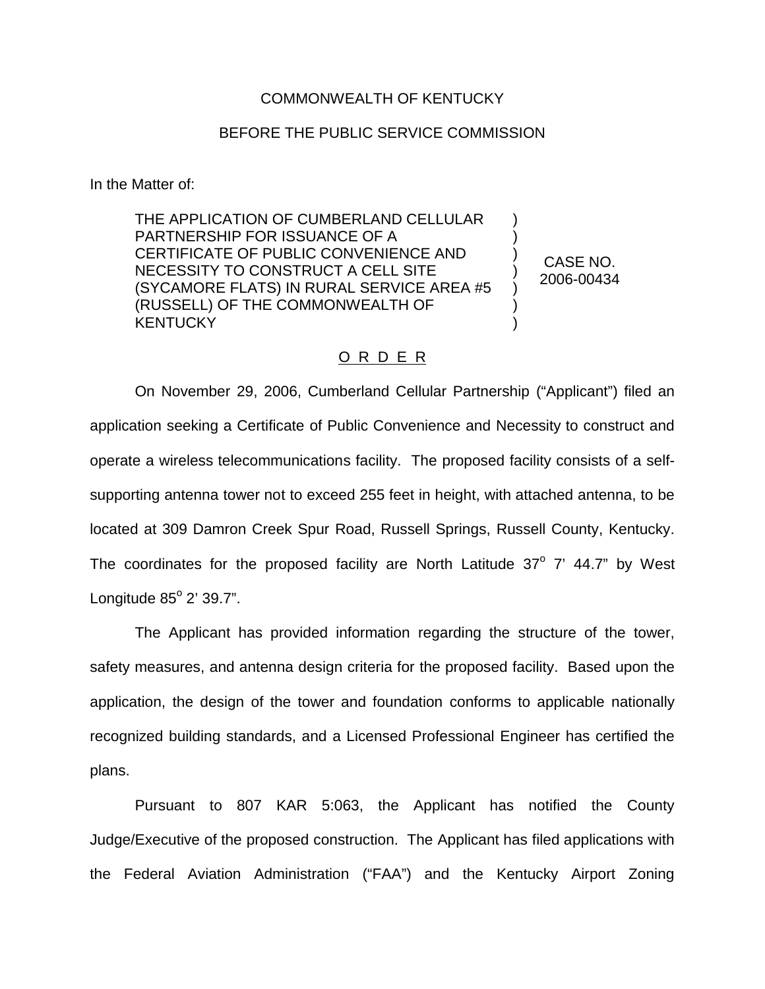## COMMONWEALTH OF KENTUCKY

## BEFORE THE PUBLIC SERVICE COMMISSION

In the Matter of:

THE APPLICATION OF CUMBERLAND CELLULAR PARTNERSHIP FOR ISSUANCE OF A CERTIFICATE OF PUBLIC CONVENIENCE AND NECESSITY TO CONSTRUCT A CELL SITE (SYCAMORE FLATS) IN RURAL SERVICE AREA #5 (RUSSELL) OF THE COMMONWEALTH OF **KENTUCKY** 

CASE NO. 2006-00434

) ) ) ) ) ) )

## O R D E R

On November 29, 2006, Cumberland Cellular Partnership ("Applicant") filed an application seeking a Certificate of Public Convenience and Necessity to construct and operate a wireless telecommunications facility. The proposed facility consists of a selfsupporting antenna tower not to exceed 255 feet in height, with attached antenna, to be located at 309 Damron Creek Spur Road, Russell Springs, Russell County, Kentucky. The coordinates for the proposed facility are North Latitude  $37^\circ$  7' 44.7" by West Longitude  $85^{\circ}$  2' 39.7".

The Applicant has provided information regarding the structure of the tower, safety measures, and antenna design criteria for the proposed facility. Based upon the application, the design of the tower and foundation conforms to applicable nationally recognized building standards, and a Licensed Professional Engineer has certified the plans.

Pursuant to 807 KAR 5:063, the Applicant has notified the County Judge/Executive of the proposed construction. The Applicant has filed applications with the Federal Aviation Administration ("FAA") and the Kentucky Airport Zoning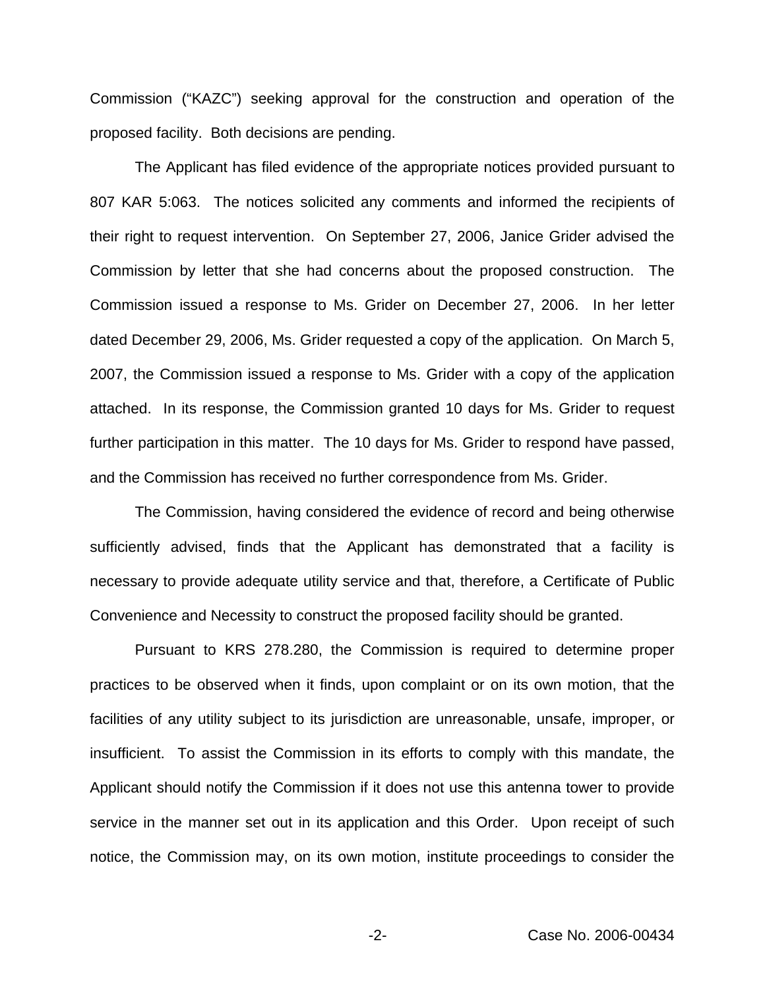Commission ("KAZC") seeking approval for the construction and operation of the proposed facility. Both decisions are pending.

The Applicant has filed evidence of the appropriate notices provided pursuant to 807 KAR 5:063. The notices solicited any comments and informed the recipients of their right to request intervention. On September 27, 2006, Janice Grider advised the Commission by letter that she had concerns about the proposed construction. The Commission issued a response to Ms. Grider on December 27, 2006. In her letter dated December 29, 2006, Ms. Grider requested a copy of the application. On March 5, 2007, the Commission issued a response to Ms. Grider with a copy of the application attached. In its response, the Commission granted 10 days for Ms. Grider to request further participation in this matter. The 10 days for Ms. Grider to respond have passed, and the Commission has received no further correspondence from Ms. Grider.

The Commission, having considered the evidence of record and being otherwise sufficiently advised, finds that the Applicant has demonstrated that a facility is necessary to provide adequate utility service and that, therefore, a Certificate of Public Convenience and Necessity to construct the proposed facility should be granted.

Pursuant to KRS 278.280, the Commission is required to determine proper practices to be observed when it finds, upon complaint or on its own motion, that the facilities of any utility subject to its jurisdiction are unreasonable, unsafe, improper, or insufficient. To assist the Commission in its efforts to comply with this mandate, the Applicant should notify the Commission if it does not use this antenna tower to provide service in the manner set out in its application and this Order. Upon receipt of such notice, the Commission may, on its own motion, institute proceedings to consider the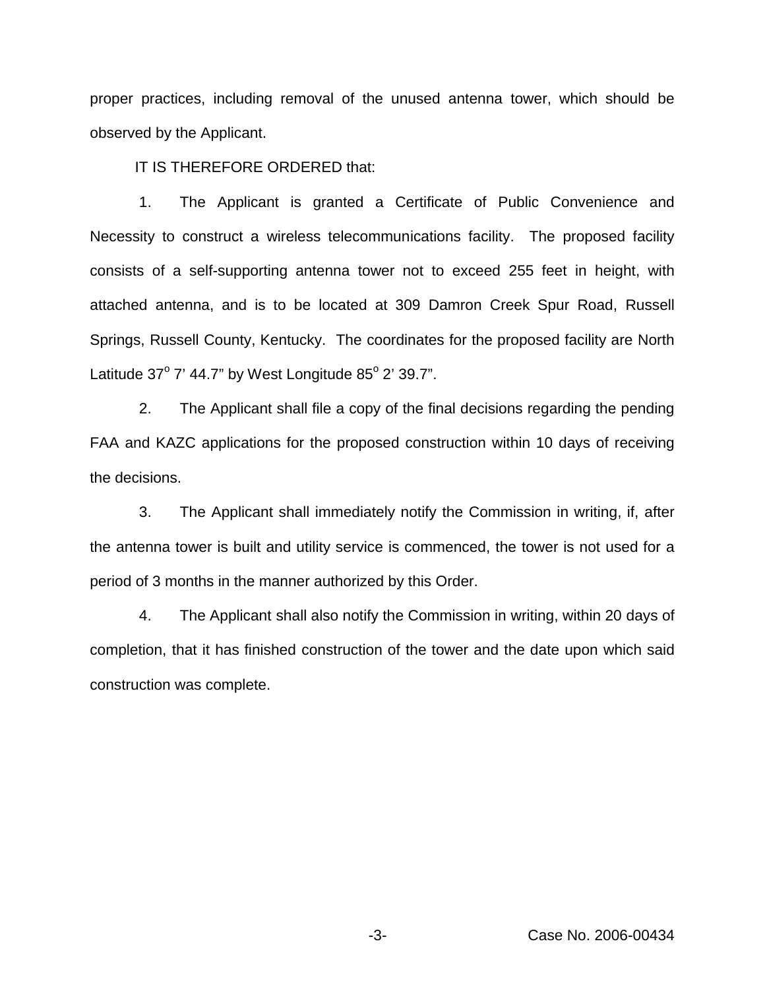proper practices, including removal of the unused antenna tower, which should be observed by the Applicant.

IT IS THEREFORE ORDERED that:

1. The Applicant is granted a Certificate of Public Convenience and Necessity to construct a wireless telecommunications facility. The proposed facility consists of a self-supporting antenna tower not to exceed 255 feet in height, with attached antenna, and is to be located at 309 Damron Creek Spur Road, Russell Springs, Russell County, Kentucky. The coordinates for the proposed facility are North Latitude  $37^{\circ}$  7' 44.7" by West Longitude  $85^{\circ}$  2' 39.7".

2. The Applicant shall file a copy of the final decisions regarding the pending FAA and KAZC applications for the proposed construction within 10 days of receiving the decisions.

3. The Applicant shall immediately notify the Commission in writing, if, after the antenna tower is built and utility service is commenced, the tower is not used for a period of 3 months in the manner authorized by this Order.

4. The Applicant shall also notify the Commission in writing, within 20 days of completion, that it has finished construction of the tower and the date upon which said construction was complete.